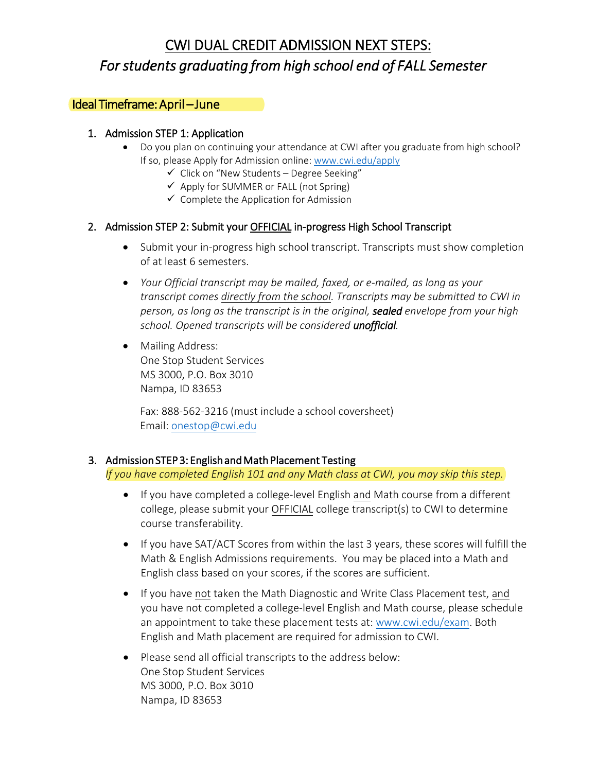# CWI DUAL CREDIT ADMISSION NEXT STEPS: *For students graduating from high school end of FALL Semester*

### Ideal Timeframe: April – June

#### 1. Admission STEP 1: Application

- Do you plan on continuing your attendance at CWI after you graduate from high school? If so, please Apply for Admission online: [www.cwi.edu/apply](http://www.cwi.edu/apply)
	- $\checkmark$  Click on "New Students Degree Seeking"
	- $\checkmark$  Apply for SUMMER or FALL (not Spring)
	- $\checkmark$  Complete the Application for Admission

#### 2. Admission STEP 2: Submit your OFFICIAL in-progress High School Transcript

- Submit your in-progress high school transcript. Transcripts must show completion of at least 6 semesters.
- *Your Official transcript may be mailed, faxed, or e-mailed, as long as your transcript comes directly from the school. Transcripts may be submitted to CWI in person, as long as the transcript is in the original, sealed envelope from your high school. Opened transcripts will be considered unofficial.*
- Mailing Address: One Stop Student Services MS 3000, P.O. Box 3010 Nampa, ID 83653

Fax: 888-562-3216 (must include a school coversheet) Email: [onestop@cwi.edu](mailto:onestop@cwi.edu)

#### 3. Admission STEP 3: English and Math Placement Testing

*If you have completed English 101 and any Math class at CWI, you may skip this step.*

- If you have completed a college-level English and Math course from a different college, please submit your OFFICIAL college transcript(s) to CWI to determine course transferability.
- If you have SAT/ACT Scores from within the last 3 years, these scores will fulfill the Math & English Admissions requirements. You may be placed into a Math and English class based on your scores, if the scores are sufficient.
- If you have not taken the Math Diagnostic and Write Class Placement test, and you have not completed a college-level English and Math course, please schedule an appointment to take these placement tests at: [www.cwi.edu/exam.](http://www.cwi.edu/exam) Both English and Math placement are required for admission to CWI.
- Please send all official transcripts to the address below: One Stop Student Services MS 3000, P.O. Box 3010 Nampa, ID 83653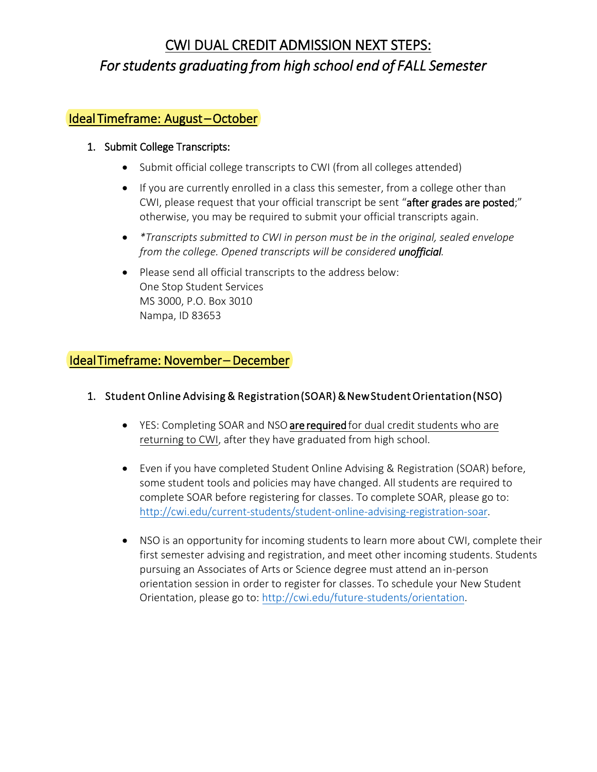# CWI DUAL CREDIT ADMISSION NEXT STEPS: *For students graduating from high school end of FALL Semester*

# Ideal Timeframe: August – October

#### 1. Submit College Transcripts:

- Submit official college transcripts to CWI (from all colleges attended)
- If you are currently enrolled in a class this semester, from a college other than CWI, please request that your official transcript be sent "after grades are posted;" otherwise, you may be required to submit your official transcripts again.
- *\*Transcripts submitted to CWI in person must be in the original, sealed envelope from the college. Opened transcripts will be considered unofficial.*
- Please send all official transcripts to the address below: One Stop Student Services MS 3000, P.O. Box 3010 Nampa, ID 83653

# Ideal Timeframe: November – December

### 1. Student Online Advising & Registration (SOAR) & New Student Orientation (NSO)

- YES: Completing SOAR and NSO are required for dual credit students who are returning to CWI, after they have graduated from high school.
- Even if you have completed Student Online Advising & Registration (SOAR) before, some student tools and policies may have changed. All students are required to complete SOAR before registering for classes. To complete SOAR, please go to: http://cwi.edu/current-students/student-online-advising-registration-soar.
- NSO is an opportunity for incoming students to learn more about CWI, complete their first semester advising and registration, and meet other incoming students. Students pursuing an Associates of Arts or Science degree must attend an in-person orientation session in order to register for classes. To schedule your New Student Orientation, please go to: http://cwi.edu/future-students/orientation.